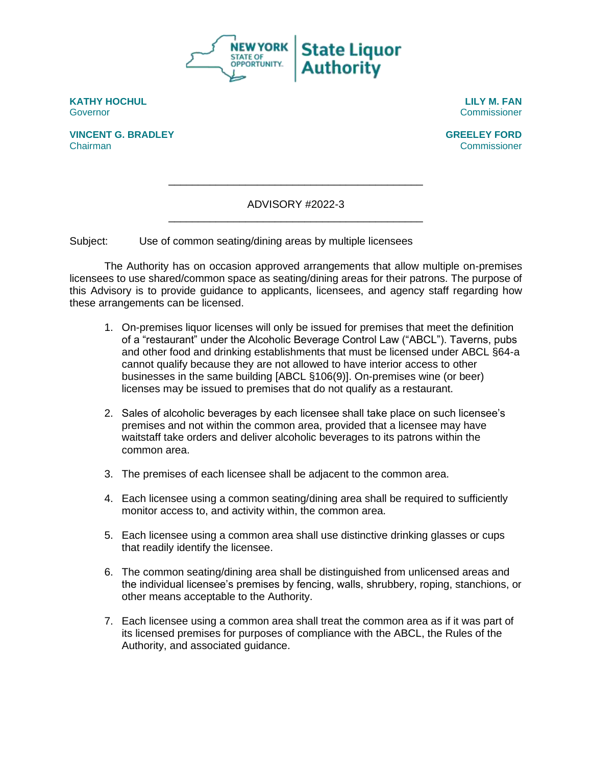

**KATHY HOCHUL LILY M. FAN** Governor Commissioner

**VINCENT G. BRADLEY GREELEY FORD** Chairman Commissioner

ADVISORY #2022-3 \_\_\_\_\_\_\_\_\_\_\_\_\_\_\_\_\_\_\_\_\_\_\_\_\_\_\_\_\_\_\_\_\_\_\_\_\_\_\_\_\_\_\_

\_\_\_\_\_\_\_\_\_\_\_\_\_\_\_\_\_\_\_\_\_\_\_\_\_\_\_\_\_\_\_\_\_\_\_\_\_\_\_\_\_\_\_

Subject: Use of common seating/dining areas by multiple licensees

The Authority has on occasion approved arrangements that allow multiple on-premises licensees to use shared/common space as seating/dining areas for their patrons. The purpose of this Advisory is to provide guidance to applicants, licensees, and agency staff regarding how these arrangements can be licensed.

- 1. On-premises liquor licenses will only be issued for premises that meet the definition of a "restaurant" under the Alcoholic Beverage Control Law ("ABCL"). Taverns, pubs and other food and drinking establishments that must be licensed under ABCL §64-a cannot qualify because they are not allowed to have interior access to other businesses in the same building [ABCL §106(9)]. On-premises wine (or beer) licenses may be issued to premises that do not qualify as a restaurant.
- 2. Sales of alcoholic beverages by each licensee shall take place on such licensee's premises and not within the common area, provided that a licensee may have waitstaff take orders and deliver alcoholic beverages to its patrons within the common area.
- 3. The premises of each licensee shall be adjacent to the common area.
- 4. Each licensee using a common seating/dining area shall be required to sufficiently monitor access to, and activity within, the common area.
- 5. Each licensee using a common area shall use distinctive drinking glasses or cups that readily identify the licensee.
- 6. The common seating/dining area shall be distinguished from unlicensed areas and the individual licensee's premises by fencing, walls, shrubbery, roping, stanchions, or other means acceptable to the Authority.
- 7. Each licensee using a common area shall treat the common area as if it was part of its licensed premises for purposes of compliance with the ABCL, the Rules of the Authority, and associated guidance.